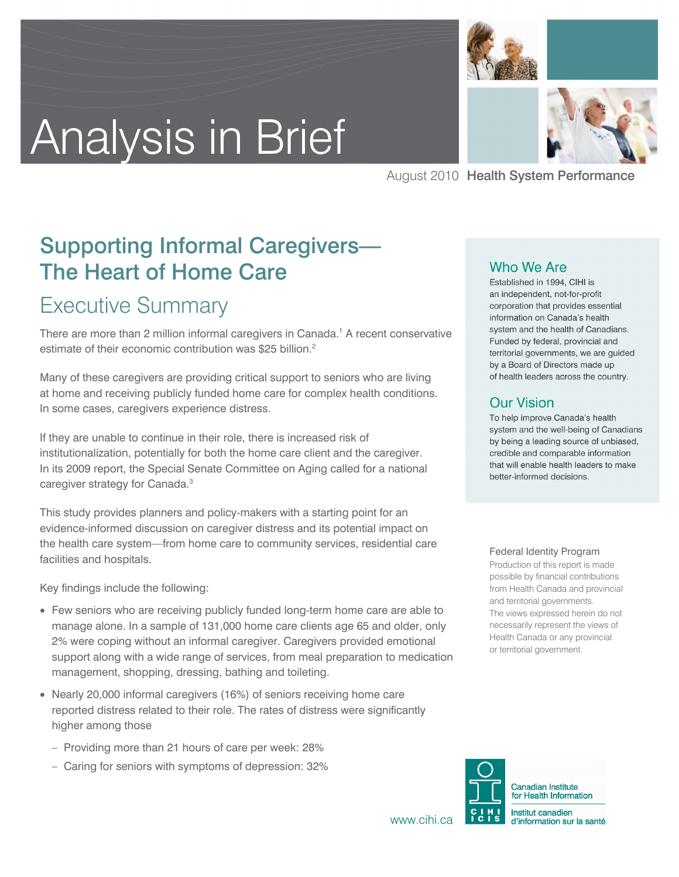



August 2010 Health System Performance

# Supporting Informal Caregivers— The Heart of Home Care

# Executive Summary

There are more than 2 million informal caregivers in Canada.<sup>1</sup> A recent conservative estimate of their economic contribution was \$25 billion.<sup>2</sup>

Many of these caregivers are providing critical support to seniors who are living at home and receiving publicly funded home care for complex health conditions. In some cases, caregivers experience distress.

If they are unable to continue in their role, there is increased risk of institutionalization, potentially for both the home care client and the caregiver. In its 2009 report, the Special Senate Committee on Aging called for a national caregiver strategy for Canada.<sup>3</sup>

This study provides planners and policy-makers with a starting point for an evidence-informed discussion on caregiver distress and its potential impact on the health care system—from home care to community services, residential care facilities and hospitals.

Key findings include the following:

- Few seniors who are receiving publicly funded long-term home care are able to manage alone. In a sample of 131,000 home care clients age 65 and older, only 2% were coping without an informal caregiver. Caregivers provided emotional support along with a wide range of services, from meal preparation to medication management, shopping, dressing, bathing and toileting.
- Nearly 20,000 informal caregivers (16%) of seniors receiving home care reported distress related to their role. The rates of distress were significantly higher among those
	- Providing more than 21 hours of care per week: 28%
	- Caring for seniors with symptoms of depression: 32%

#### Who We Are

Established in 1994, CIHI is an independent, not-for-profit corporation that provides essential information on Canada's health system and the health of Canadians. Funded by federal, provincial and territorial governments, we are guided by a Board of Directors made up of health leaders across the country.

#### **Our Vision**

To help improve Canada's health system and the well-being of Canadians by being a leading source of unbiased, credible and comparable information that will enable health leaders to make better-informed decisions.

#### Federal Identity Program

Production of this report is made possible by financial contributions from Health Canada and provincial and territorial governments. The views expressed herein do not necessarily represent the views of Health Canada or any provincial or territorial government.



www.cihi.ca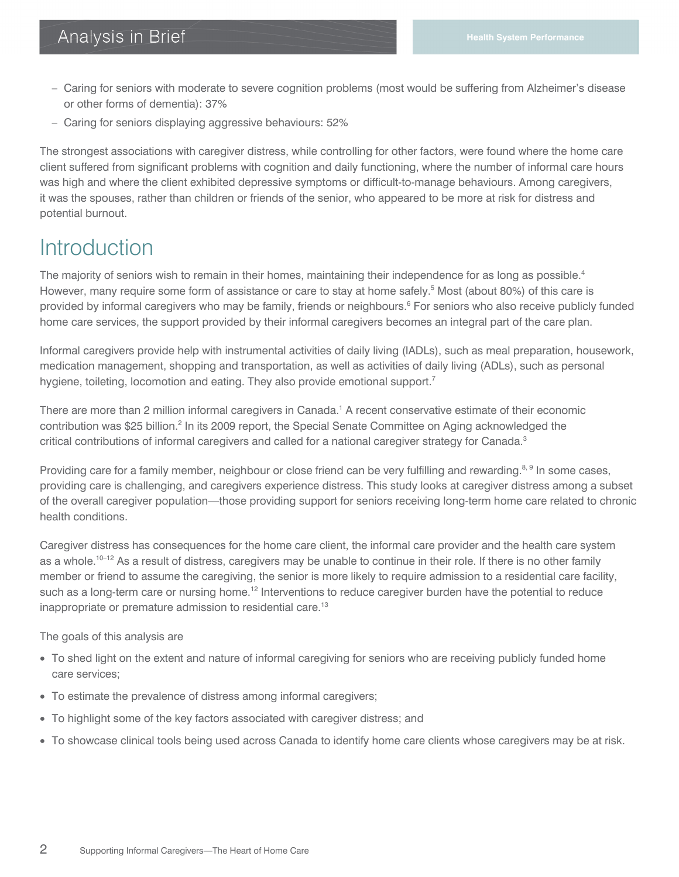- Caring for seniors with moderate to severe cognition problems (most would be suffering from Alzheimer's disease or other forms of dementia): 37%
- Caring for seniors displaying aggressive behaviours: 52%

The strongest associations with caregiver distress, while controlling for other factors, were found where the home care client suffered from significant problems with cognition and daily functioning, where the number of informal care hours was high and where the client exhibited depressive symptoms or difficult-to-manage behaviours. Among caregivers, it was the spouses, rather than children or friends of the senior, who appeared to be more at risk for distress and potential burnout.

# **Introduction**

The majority of seniors wish to remain in their homes, maintaining their independence for as long as possible.<sup>4</sup> However, many require some form of assistance or care to stay at home safely.<sup>5</sup> Most (about 80%) of this care is provided by informal caregivers who may be family, friends or neighbours.<sup>6</sup> For seniors who also receive publicly funded home care services, the support provided by their informal caregivers becomes an integral part of the care plan.

Informal caregivers provide help with instrumental activities of daily living (IADLs), such as meal preparation, housework, medication management, shopping and transportation, as well as activities of daily living (ADLs), such as personal hygiene, toileting, locomotion and eating. They also provide emotional support.<sup>7</sup>

There are more than 2 million informal caregivers in Canada.<sup>1</sup> A recent conservative estimate of their economic contribution was \$25 billion.<sup>2</sup> In its 2009 report, the Special Senate Committee on Aging acknowledged the critical contributions of informal caregivers and called for a national caregiver strategy for Canada.<sup>3</sup>

Providing care for a family member, neighbour or close friend can be very fulfilling and rewarding.<sup>8, 9</sup> In some cases, providing care is challenging, and caregivers experience distress. This study looks at caregiver distress among a subset of the overall caregiver population—those providing support for seniors receiving long-term home care related to chronic health conditions.

Caregiver distress has consequences for the home care client, the informal care provider and the health care system as a whole.<sup>10–12</sup> As a result of distress, caregivers may be unable to continue in their role. If there is no other family member or friend to assume the caregiving, the senior is more likely to require admission to a residential care facility, such as a long-term care or nursing home.<sup>12</sup> Interventions to reduce caregiver burden have the potential to reduce inappropriate or premature admission to residential care.<sup>13</sup>

The goals of this analysis are

- To shed light on the extent and nature of informal caregiving for seniors who are receiving publicly funded home care services;
- To estimate the prevalence of distress among informal caregivers;
- To highlight some of the key factors associated with caregiver distress; and
- To showcase clinical tools being used across Canada to identify home care clients whose caregivers may be at risk.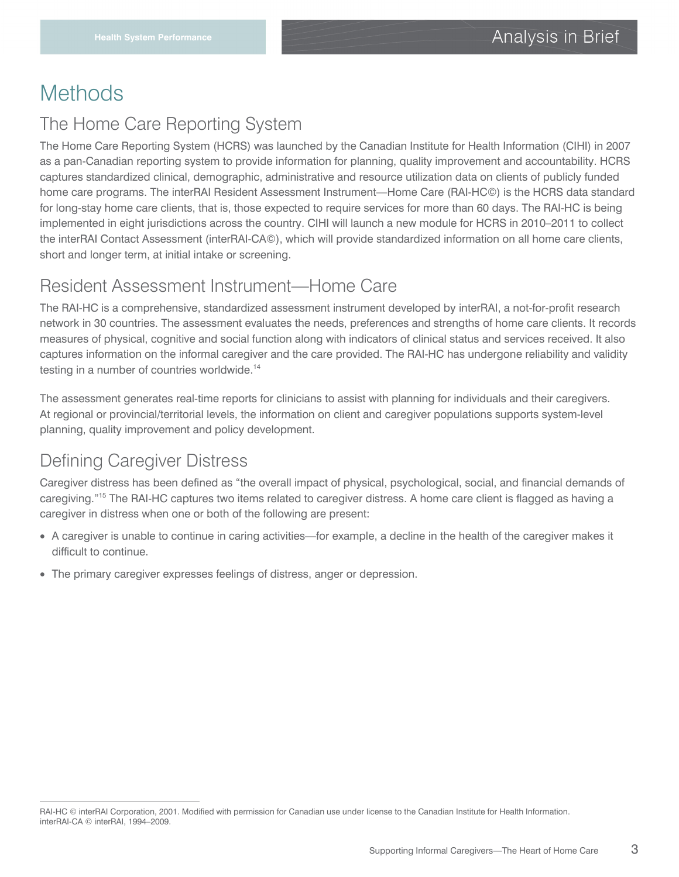# **Methods**

### The Home Care Reporting System

The Home Care Reporting System (HCRS) was launched by the Canadian Institute for Health Information (CIHI) in 2007 as a pan-Canadian reporting system to provide information for planning, quality improvement and accountability. HCRS captures standardized clinical, demographic, administrative and resource utilization data on clients of publicly funded home care programs. The interRAI Resident Assessment Instrument—Home Care (RAI-HC©) is the HCRS data standard for long-stay home care clients, that is, those expected to require services for more than 60 days. The RAI-HC is being implemented in eight jurisdictions across the country. CIHI will launch a new module for HCRS in 2010–2011 to collect the interRAI Contact Assessment (interRAI-CA©), which will provide standardized information on all home care clients, short and longer term, at initial intake or screening.

### Resident Assessment Instrument—Home Care

The RAI-HC is a comprehensive, standardized assessment instrument developed by interRAI, a not-for-profit research network in 30 countries. The assessment evaluates the needs, preferences and strengths of home care clients. It records measures of physical, cognitive and social function along with indicators of clinical status and services received. It also captures information on the informal caregiver and the care provided. The RAI-HC has undergone reliability and validity testing in a number of countries worldwide.<sup>14</sup>

The assessment generates real-time reports for clinicians to assist with planning for individuals and their caregivers. At regional or provincial/territorial levels, the information on client and caregiver populations supports system-level planning, quality improvement and policy development.

# Defining Caregiver Distress

 $\overline{a}$ 

Caregiver distress has been defined as "the overall impact of physical, psychological, social, and financial demands of caregiving."<sup>15</sup> The RAI-HC captures two items related to caregiver distress. A home care client is flagged as having a caregiver in distress when one or both of the following are present:

- A caregiver is unable to continue in caring activities—for example, a decline in the health of the caregiver makes it difficult to continue.
- The primary caregiver expresses feelings of distress, anger or depression.

RAI-HC © interRAI Corporation, 2001. Modified with permission for Canadian use under license to the Canadian Institute for Health Information. interRAI-CA © interRAI, 1994–2009.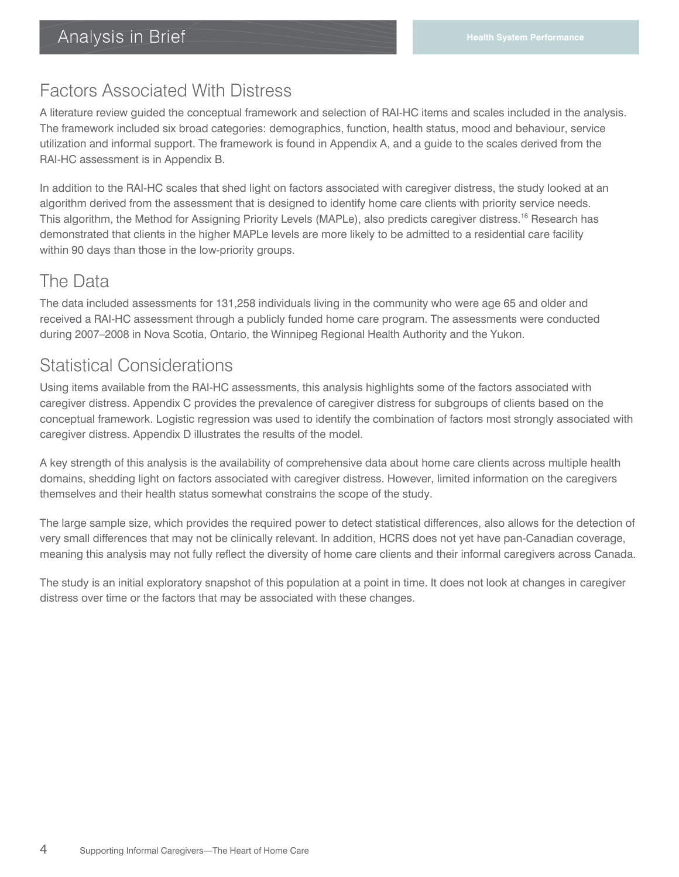### Factors Associated With Distress

A literature review guided the conceptual framework and selection of RAI-HC items and scales included in the analysis. The framework included six broad categories: demographics, function, health status, mood and behaviour, service utilization and informal support. The framework is found in Appendix A, and a guide to the scales derived from the RAI-HC assessment is in Appendix B.

In addition to the RAI-HC scales that shed light on factors associated with caregiver distress, the study looked at an algorithm derived from the assessment that is designed to identify home care clients with priority service needs. This algorithm, the Method for Assigning Priority Levels (MAPLe), also predicts caregiver distress.<sup>16</sup> Research has demonstrated that clients in the higher MAPLe levels are more likely to be admitted to a residential care facility within 90 days than those in the low-priority groups.

### The Data

The data included assessments for 131,258 individuals living in the community who were age 65 and older and received a RAI-HC assessment through a publicly funded home care program. The assessments were conducted during 2007–2008 in Nova Scotia, Ontario, the Winnipeg Regional Health Authority and the Yukon.

# Statistical Considerations

Using items available from the RAI-HC assessments, this analysis highlights some of the factors associated with caregiver distress. Appendix C provides the prevalence of caregiver distress for subgroups of clients based on the conceptual framework. Logistic regression was used to identify the combination of factors most strongly associated with caregiver distress. Appendix D illustrates the results of the model.

A key strength of this analysis is the availability of comprehensive data about home care clients across multiple health domains, shedding light on factors associated with caregiver distress. However, limited information on the caregivers themselves and their health status somewhat constrains the scope of the study.

The large sample size, which provides the required power to detect statistical differences, also allows for the detection of very small differences that may not be clinically relevant. In addition, HCRS does not yet have pan-Canadian coverage, meaning this analysis may not fully reflect the diversity of home care clients and their informal caregivers across Canada.

The study is an initial exploratory snapshot of this population at a point in time. It does not look at changes in caregiver distress over time or the factors that may be associated with these changes.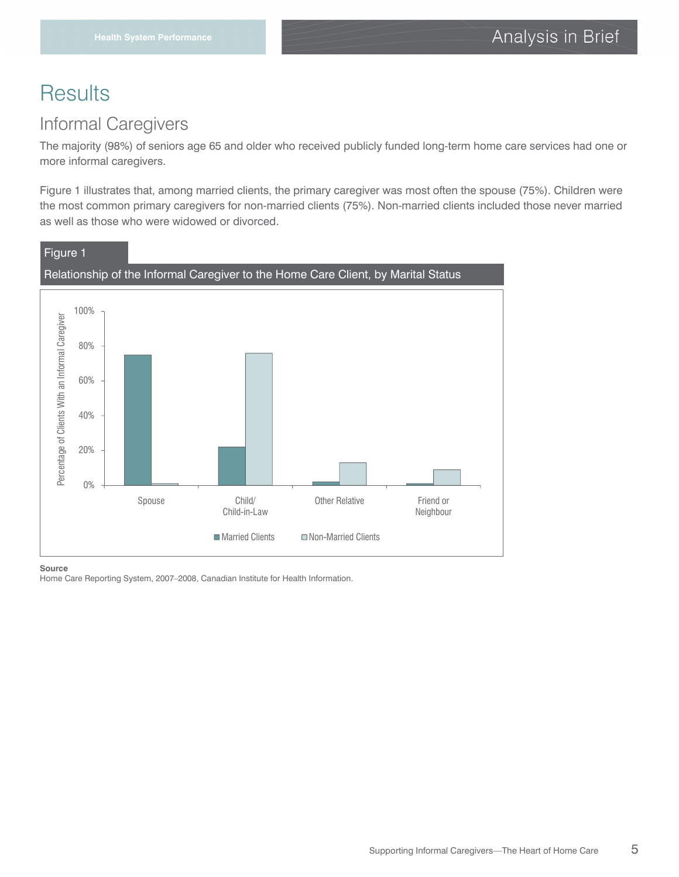# **Results**

### Informal Caregivers

The majority (98%) of seniors age 65 and older who received publicly funded long-term home care services had one or more informal caregivers.

Figure 1 illustrates that, among married clients, the primary caregiver was most often the spouse (75%). Children were the most common primary caregivers for non-married clients (75%). Non-married clients included those never married as well as those who were widowed or divorced.



#### **Source**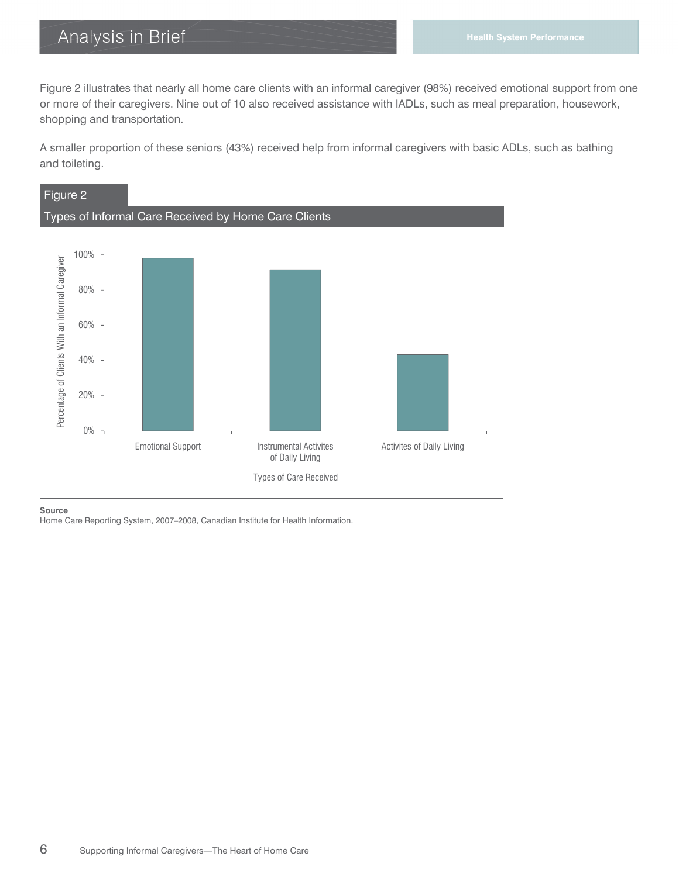Figure 2 illustrates that nearly all home care clients with an informal caregiver (98%) received emotional support from one or more of their caregivers. Nine out of 10 also received assistance with IADLs, such as meal preparation, housework, shopping and transportation.

A smaller proportion of these seniors (43%) received help from informal caregivers with basic ADLs, such as bathing and toileting.



**Source**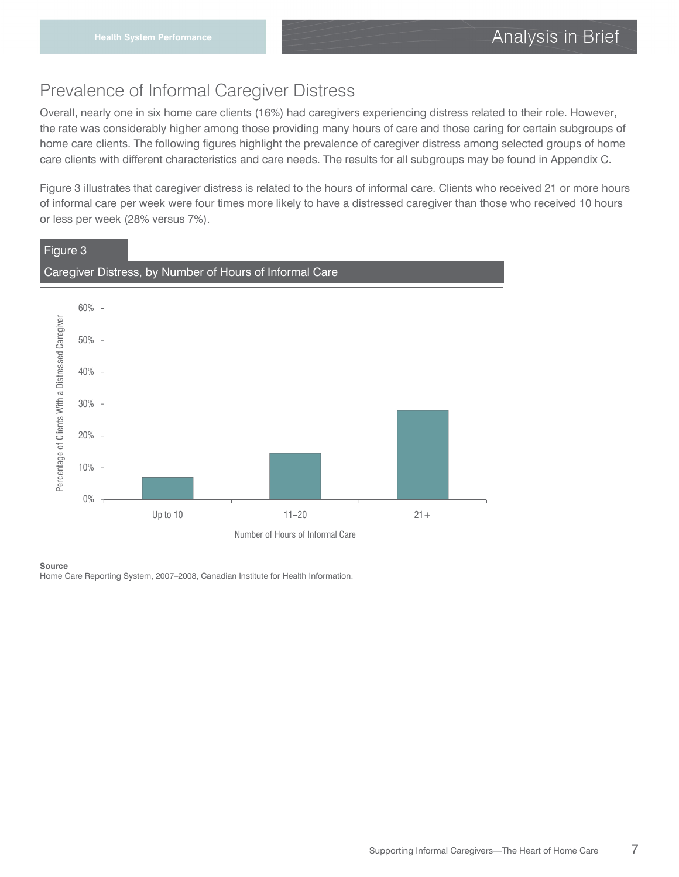## Prevalence of Informal Caregiver Distress

Overall, nearly one in six home care clients (16%) had caregivers experiencing distress related to their role. However, the rate was considerably higher among those providing many hours of care and those caring for certain subgroups of home care clients. The following figures highlight the prevalence of caregiver distress among selected groups of home care clients with different characteristics and care needs. The results for all subgroups may be found in Appendix C.

Figure 3 illustrates that caregiver distress is related to the hours of informal care. Clients who received 21 or more hours of informal care per week were four times more likely to have a distressed caregiver than those who received 10 hours or less per week (28% versus 7%).



**Source**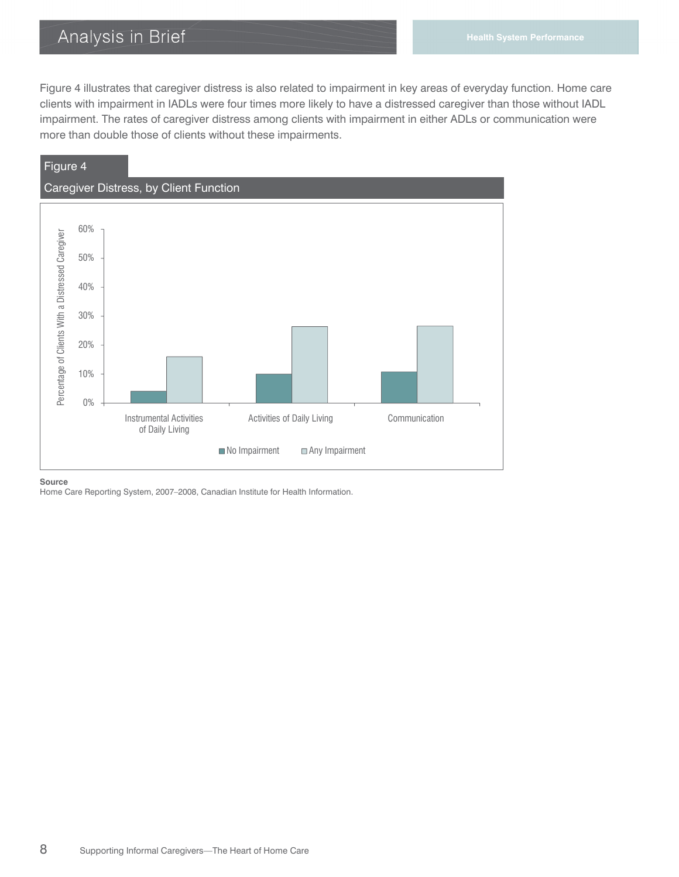Figure 4 illustrates that caregiver distress is also related to impairment in key areas of everyday function. Home care clients with impairment in IADLs were four times more likely to have a distressed caregiver than those without IADL impairment. The rates of caregiver distress among clients with impairment in either ADLs or communication were more than double those of clients without these impairments.



**Source**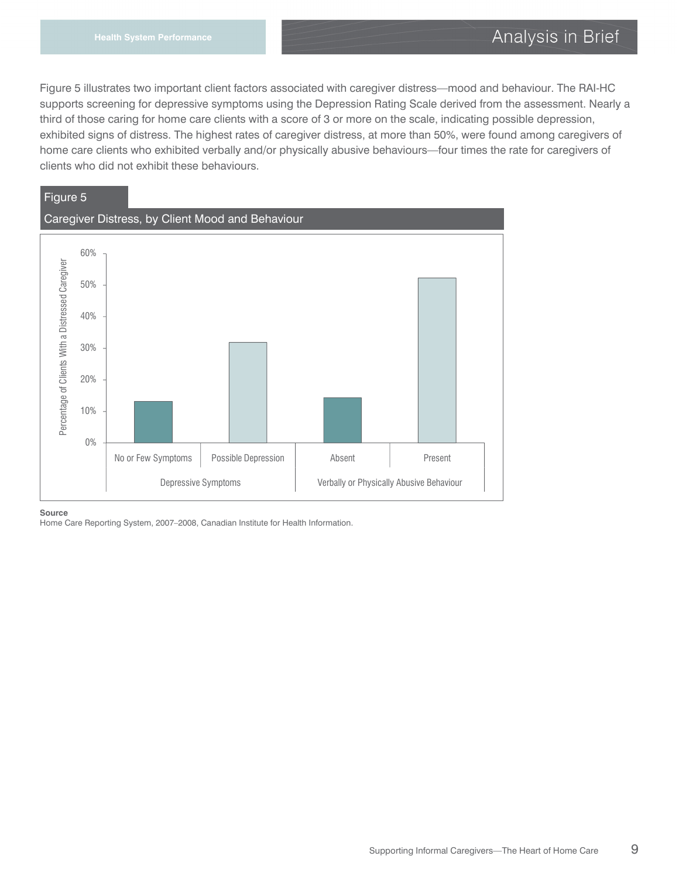Figure 5 illustrates two important client factors associated with caregiver distress—mood and behaviour. The RAI-HC supports screening for depressive symptoms using the Depression Rating Scale derived from the assessment. Nearly a third of those caring for home care clients with a score of 3 or more on the scale, indicating possible depression, exhibited signs of distress. The highest rates of caregiver distress, at more than 50%, were found among caregivers of home care clients who exhibited verbally and/or physically abusive behaviours—four times the rate for caregivers of clients who did not exhibit these behaviours.



#### **Source**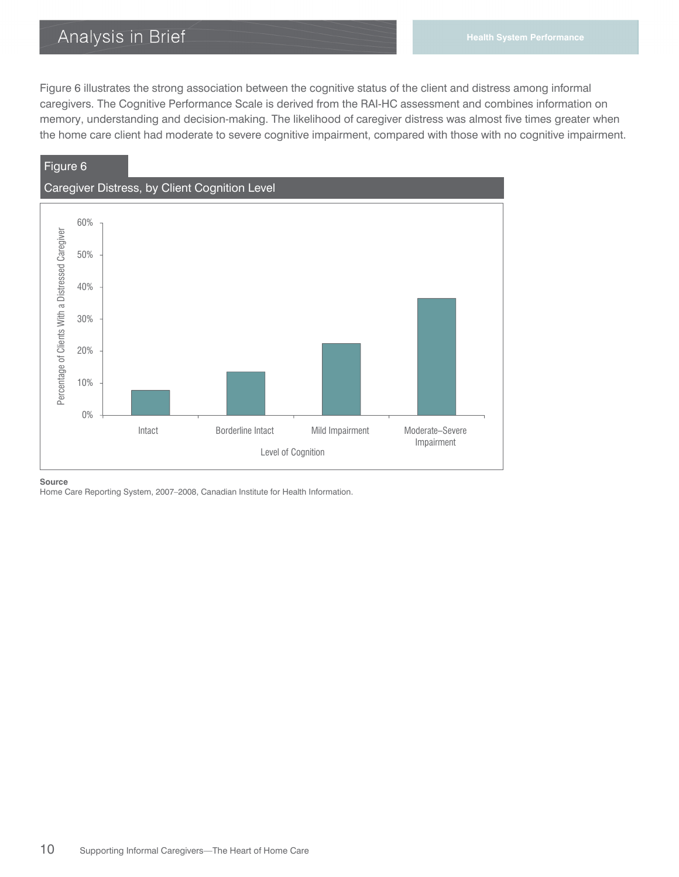Figure 6 illustrates the strong association between the cognitive status of the client and distress among informal caregivers. The Cognitive Performance Scale is derived from the RAI-HC assessment and combines information on memory, understanding and decision-making. The likelihood of caregiver distress was almost five times greater when the home care client had moderate to severe cognitive impairment, compared with those with no cognitive impairment.



#### **Source**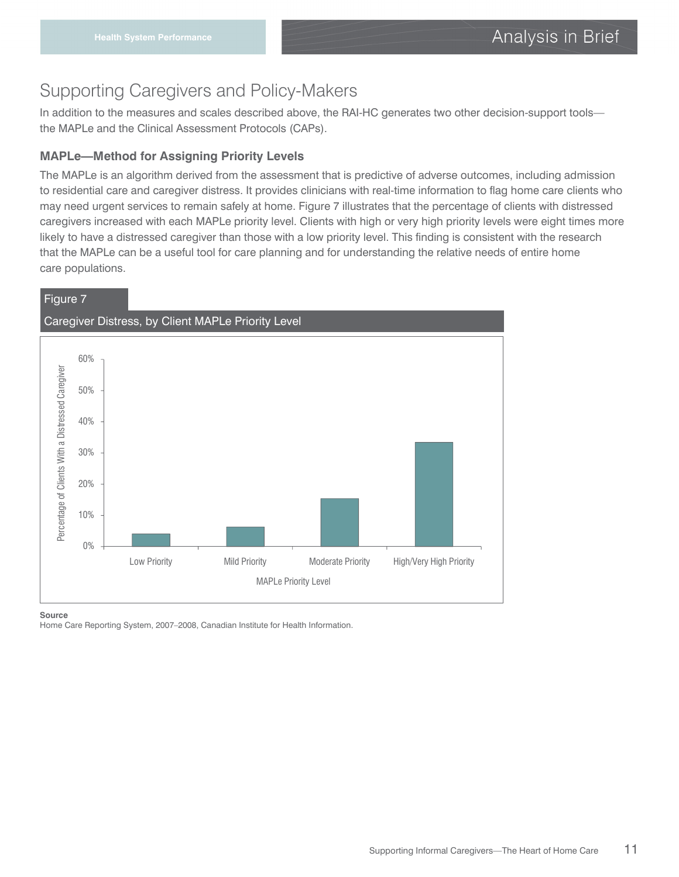# Supporting Caregivers and Policy-Makers

In addition to the measures and scales described above, the RAI-HC generates two other decision-support tools the MAPLe and the Clinical Assessment Protocols (CAPs).

#### **MAPLe—Method for Assigning Priority Levels**

The MAPLe is an algorithm derived from the assessment that is predictive of adverse outcomes, including admission to residential care and caregiver distress. It provides clinicians with real-time information to flag home care clients who may need urgent services to remain safely at home. Figure 7 illustrates that the percentage of clients with distressed caregivers increased with each MAPLe priority level. Clients with high or very high priority levels were eight times more likely to have a distressed caregiver than those with a low priority level. This finding is consistent with the research that the MAPLe can be a useful tool for care planning and for understanding the relative needs of entire home care populations.

#### Figure 7



#### **Source**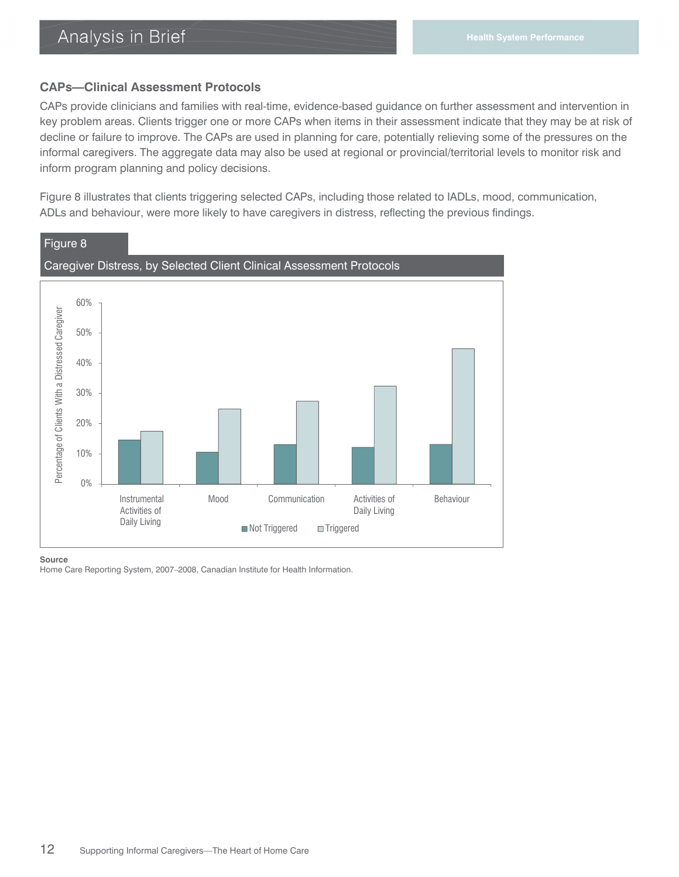#### **CAPs—Clinical Assessment Protocols**

CAPs provide clinicians and families with real-time, evidence-based guidance on further assessment and intervention in key problem areas. Clients trigger one or more CAPs when items in their assessment indicate that they may be at risk of decline or failure to improve. The CAPs are used in planning for care, potentially relieving some of the pressures on the informal caregivers. The aggregate data may also be used at regional or provincial/territorial levels to monitor risk and inform program planning and policy decisions.

Figure 8 illustrates that clients triggering selected CAPs, including those related to IADLs, mood, communication, ADLs and behaviour, were more likely to have caregivers in distress, reflecting the previous findings.



#### **Source**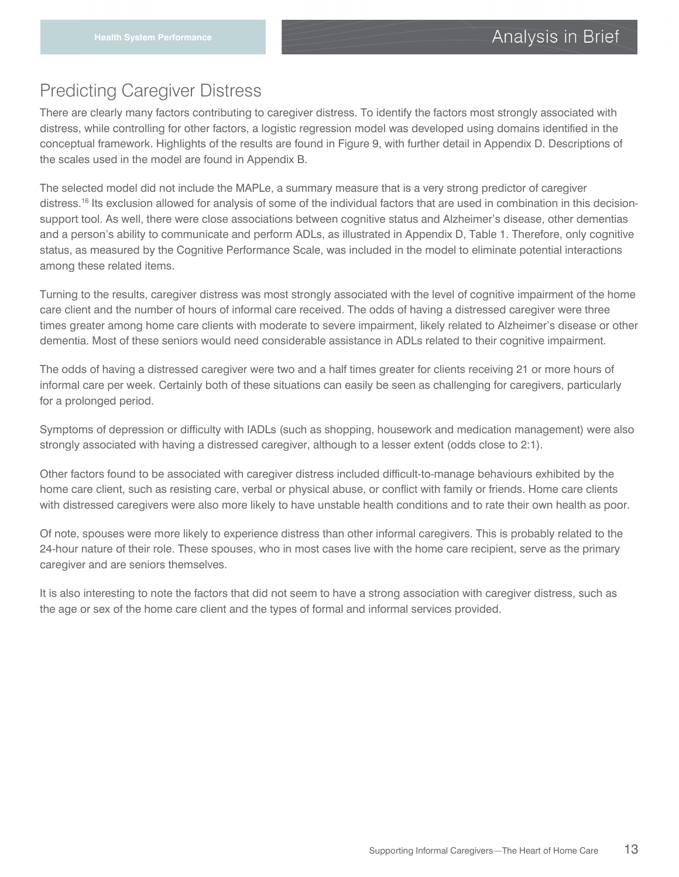### Predicting Caregiver Distress

There are clearly many factors contributing to caregiver distress. To identify the factors most strongly associated with distress, while controlling for other factors, a logistic regression model was developed using domains identified in the conceptual framework. Highlights of the results are found in Figure 9, with further detail in Appendix D. Descriptions of the scales used in the model are found in Appendix B.

The selected model did not include the MAPLe, a summary measure that is a very strong predictor of caregiver distress.<sup>16</sup> Its exclusion allowed for analysis of some of the individual factors that are used in combination in this decisionsupport tool. As well, there were close associations between cognitive status and Alzheimer's disease, other dementias and a person's ability to communicate and perform ADLs, as illustrated in Appendix D, Table 1. Therefore, only cognitive status, as measured by the Cognitive Performance Scale, was included in the model to eliminate potential interactions among these related items.

Turning to the results, caregiver distress was most strongly associated with the level of cognitive impairment of the home care client and the number of hours of informal care received. The odds of having a distressed caregiver were three times greater among home care clients with moderate to severe impairment, likely related to Alzheimer's disease or other dementia. Most of these seniors would need considerable assistance in ADLs related to their cognitive impairment.

The odds of having a distressed caregiver were two and a half times greater for clients receiving 21 or more hours of informal care per week. Certainly both of these situations can easily be seen as challenging for caregivers, particularly for a prolonged period.

Symptoms of depression or difficulty with IADLs (such as shopping, housework and medication management) were also strongly associated with having a distressed caregiver, although to a lesser extent (odds close to 2:1).

Other factors found to be associated with caregiver distress included difficult-to-manage behaviours exhibited by the home care client, such as resisting care, verbal or physical abuse, or conflict with family or friends. Home care clients with distressed caregivers were also more likely to have unstable health conditions and to rate their own health as poor.

Of note, spouses were more likely to experience distress than other informal caregivers. This is probably related to the 24-hour nature of their role. These spouses, who in most cases live with the home care recipient, serve as the primary caregiver and are seniors themselves.

It is also interesting to note the factors that did not seem to have a strong association with caregiver distress, such as the age or sex of the home care client and the types of formal and informal services provided.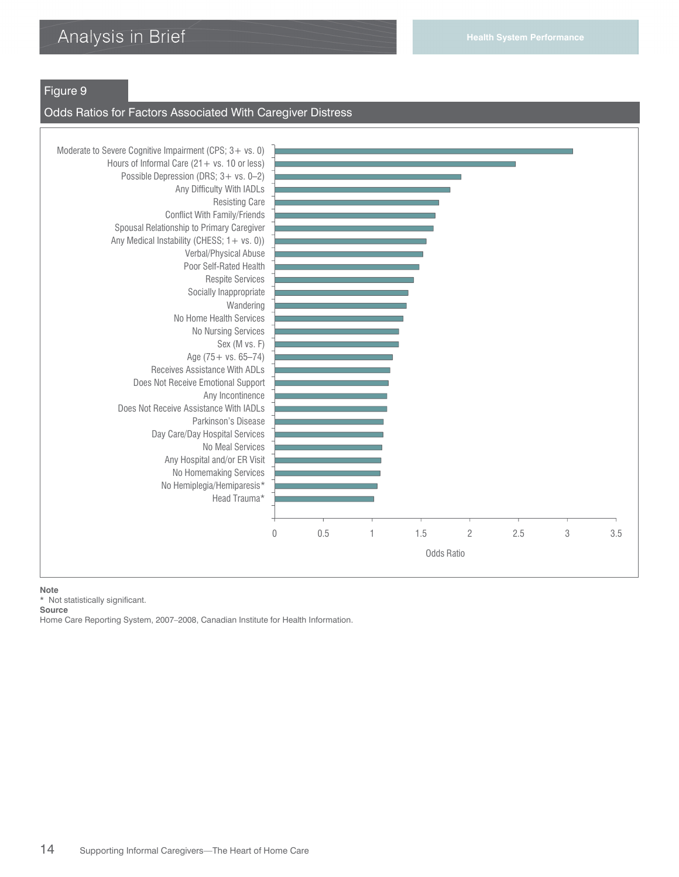#### Figure 9

#### Odds Ratios for Factors Associated With Caregiver Distress



**Note** 

\* Not statistically significant.

**Source**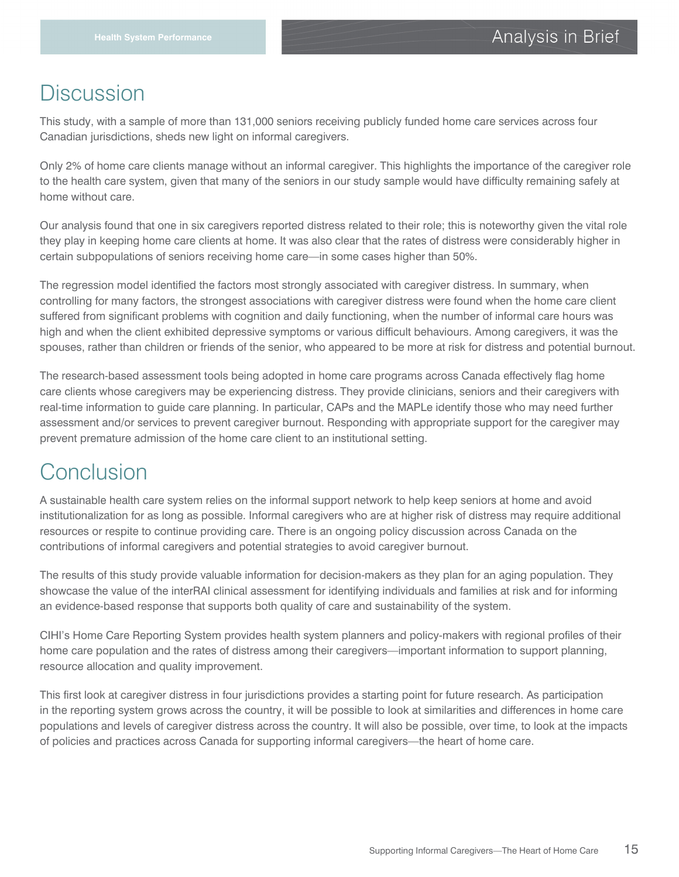# **Discussion**

This study, with a sample of more than 131,000 seniors receiving publicly funded home care services across four Canadian jurisdictions, sheds new light on informal caregivers.

Only 2% of home care clients manage without an informal caregiver. This highlights the importance of the caregiver role to the health care system, given that many of the seniors in our study sample would have difficulty remaining safely at home without care.

Our analysis found that one in six caregivers reported distress related to their role; this is noteworthy given the vital role they play in keeping home care clients at home. It was also clear that the rates of distress were considerably higher in certain subpopulations of seniors receiving home care—in some cases higher than 50%.

The regression model identified the factors most strongly associated with caregiver distress. In summary, when controlling for many factors, the strongest associations with caregiver distress were found when the home care client suffered from significant problems with cognition and daily functioning, when the number of informal care hours was high and when the client exhibited depressive symptoms or various difficult behaviours. Among caregivers, it was the spouses, rather than children or friends of the senior, who appeared to be more at risk for distress and potential burnout.

The research-based assessment tools being adopted in home care programs across Canada effectively flag home care clients whose caregivers may be experiencing distress. They provide clinicians, seniors and their caregivers with real-time information to guide care planning. In particular, CAPs and the MAPLe identify those who may need further assessment and/or services to prevent caregiver burnout. Responding with appropriate support for the caregiver may prevent premature admission of the home care client to an institutional setting.

# Conclusion

A sustainable health care system relies on the informal support network to help keep seniors at home and avoid institutionalization for as long as possible. Informal caregivers who are at higher risk of distress may require additional resources or respite to continue providing care. There is an ongoing policy discussion across Canada on the contributions of informal caregivers and potential strategies to avoid caregiver burnout.

The results of this study provide valuable information for decision-makers as they plan for an aging population. They showcase the value of the interRAI clinical assessment for identifying individuals and families at risk and for informing an evidence-based response that supports both quality of care and sustainability of the system.

CIHI's Home Care Reporting System provides health system planners and policy-makers with regional profiles of their home care population and the rates of distress among their caregivers—important information to support planning, resource allocation and quality improvement.

This first look at caregiver distress in four jurisdictions provides a starting point for future research. As participation in the reporting system grows across the country, it will be possible to look at similarities and differences in home care populations and levels of caregiver distress across the country. It will also be possible, over time, to look at the impacts of policies and practices across Canada for supporting informal caregivers—the heart of home care.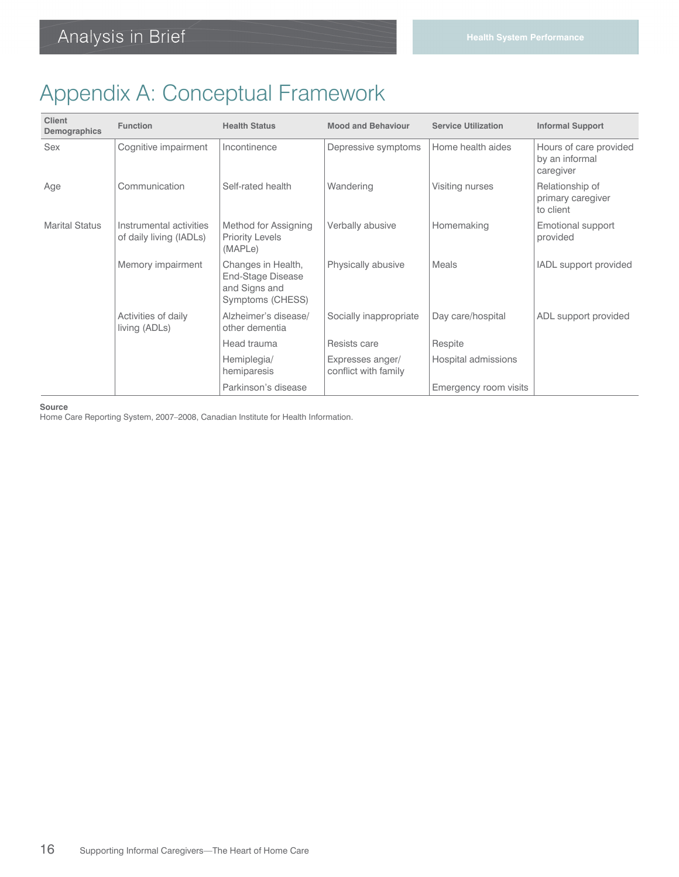# Appendix A: Conceptual Framework

| <b>Client</b><br>Demographics | <b>Function</b>                                    | <b>Health Status</b>                                                         | <b>Mood and Behaviour</b>                | <b>Service Utilization</b> | <b>Informal Support</b>                               |
|-------------------------------|----------------------------------------------------|------------------------------------------------------------------------------|------------------------------------------|----------------------------|-------------------------------------------------------|
| Sex                           | Cognitive impairment                               | Incontinence                                                                 | Depressive symptoms                      | Home health aides          | Hours of care provided<br>by an informal<br>caregiver |
| Age                           | Communication                                      | Self-rated health                                                            | Wandering                                | Visiting nurses            | Relationship of<br>primary caregiver<br>to client     |
| <b>Marital Status</b>         | Instrumental activities<br>of daily living (IADLs) | Method for Assigning<br><b>Priority Levels</b><br>(MAPLe)                    | Verbally abusive                         | Homemaking                 | Emotional support<br>provided                         |
|                               | Memory impairment                                  | Changes in Health,<br>End-Stage Disease<br>and Signs and<br>Symptoms (CHESS) | Physically abusive                       | Meals                      | IADL support provided                                 |
|                               | Activities of daily<br>living (ADLs)               | Alzheimer's disease/<br>other dementia                                       | Socially inappropriate                   | Day care/hospital          | ADL support provided                                  |
|                               |                                                    | Head trauma                                                                  | Resists care                             | Respite                    |                                                       |
|                               |                                                    | Hemiplegia/<br>hemiparesis                                                   | Expresses anger/<br>conflict with family | Hospital admissions        |                                                       |
|                               |                                                    | Parkinson's disease                                                          |                                          | Emergency room visits      |                                                       |

**Source**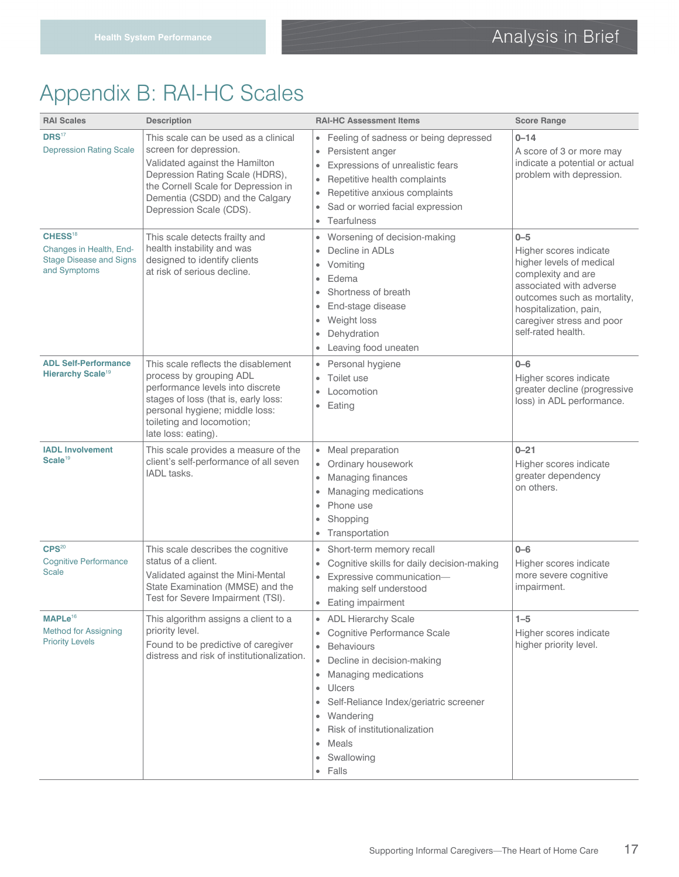# Appendix B: RAI-HC Scales

| <b>RAI Scales</b>                                                                                | <b>Description</b>                                                                                                                                                                                                                       | <b>RAI-HC Assessment Items</b>                                                                                                                                                                                                                                                                                                                                                       | <b>Score Range</b>                                                                                                                                                                                                         |
|--------------------------------------------------------------------------------------------------|------------------------------------------------------------------------------------------------------------------------------------------------------------------------------------------------------------------------------------------|--------------------------------------------------------------------------------------------------------------------------------------------------------------------------------------------------------------------------------------------------------------------------------------------------------------------------------------------------------------------------------------|----------------------------------------------------------------------------------------------------------------------------------------------------------------------------------------------------------------------------|
| DRS <sup>17</sup><br><b>Depression Rating Scale</b>                                              | This scale can be used as a clinical<br>screen for depression.<br>Validated against the Hamilton<br>Depression Rating Scale (HDRS),<br>the Cornell Scale for Depression in<br>Dementia (CSDD) and the Calgary<br>Depression Scale (CDS). | Feeling of sadness or being depressed<br>$\bullet$<br>Persistent anger<br>$\bullet$<br>Expressions of unrealistic fears<br>$\bullet$<br>Repetitive health complaints<br>۰<br>Repetitive anxious complaints<br>$\bullet$<br>Sad or worried facial expression<br>$\bullet$<br>• Tearfulness                                                                                            | $0 - 14$<br>A score of 3 or more may<br>indicate a potential or actual<br>problem with depression.                                                                                                                         |
| CHESS <sup>18</sup><br>Changes in Health, End-<br><b>Stage Disease and Signs</b><br>and Symptoms | This scale detects frailty and<br>health instability and was<br>designed to identify clients<br>at risk of serious decline.                                                                                                              | Worsening of decision-making<br>$\bullet$<br>Decline in ADLs<br>$\bullet$<br>Vomiting<br>$\bullet$<br>Edema<br>$\bullet$<br>Shortness of breath<br>$\bullet$<br>End-stage disease<br>$\bullet$<br>Weight loss<br>۰<br>Dehydration<br>$\bullet$<br>Leaving food uneaten<br>$\bullet$                                                                                                  | $0 - 5$<br>Higher scores indicate<br>higher levels of medical<br>complexity and are<br>associated with adverse<br>outcomes such as mortality,<br>hospitalization, pain,<br>caregiver stress and poor<br>self-rated health. |
| <b>ADL Self-Performance</b><br>Hierarchy Scale <sup>19</sup>                                     | This scale reflects the disablement<br>process by grouping ADL<br>performance levels into discrete<br>stages of loss (that is, early loss:<br>personal hygiene; middle loss:<br>toileting and locomotion;<br>late loss: eating).         | Personal hygiene<br>$\bullet$<br>Toilet use<br>$\bullet$<br>Locomotion<br>Eating<br>$\bullet$                                                                                                                                                                                                                                                                                        | $0 - 6$<br>Higher scores indicate<br>greater decline (progressive<br>loss) in ADL performance.                                                                                                                             |
| <b>IADL Involvement</b><br>Scale <sup>19</sup>                                                   | This scale provides a measure of the<br>client's self-performance of all seven<br>IADL tasks.                                                                                                                                            | • Meal preparation<br>Ordinary housework<br>$\bullet$<br>Managing finances<br>$\bullet$<br>Managing medications<br>$\bullet$<br>Phone use<br>$\bullet$<br>Shopping<br>$\bullet$<br>Transportation<br>$\bullet$                                                                                                                                                                       | $0 - 21$<br>Higher scores indicate<br>greater dependency<br>on others.                                                                                                                                                     |
| CPS <sup>20</sup><br><b>Cognitive Performance</b><br><b>Scale</b>                                | This scale describes the cognitive<br>status of a client.<br>Validated against the Mini-Mental<br>State Examination (MMSE) and the<br>Test for Severe Impairment (TSI).                                                                  | Short-term memory recall<br>$\bullet$<br>Cognitive skills for daily decision-making<br>$\bullet$<br>Expressive communication-<br>$\bullet$<br>making self understood<br>• Eating impairment                                                                                                                                                                                          | $0 - 6$<br>Higher scores indicate<br>more severe cognitive<br>impairment.                                                                                                                                                  |
| MAPLe <sup>16</sup><br><b>Method for Assigning</b><br><b>Priority Levels</b>                     | This algorithm assigns a client to a<br>priority level.<br>Found to be predictive of caregiver<br>distress and risk of institutionalization.                                                                                             | <b>ADL Hierarchy Scale</b><br>$\bullet$<br>Cognitive Performance Scale<br>$\bullet$<br><b>Behaviours</b><br>$\bullet$<br>Decline in decision-making<br>$\bullet$<br>Managing medications<br>$\bullet$<br>Ulcers<br>۰<br>Self-Reliance Index/geriatric screener<br>۰<br>Wandering<br>٠<br>Risk of institutionalization<br>$\bullet$<br>Meals<br>۰<br>Swallowing<br>Falls<br>$\bullet$ | $1 - 5$<br>Higher scores indicate<br>higher priority level.                                                                                                                                                                |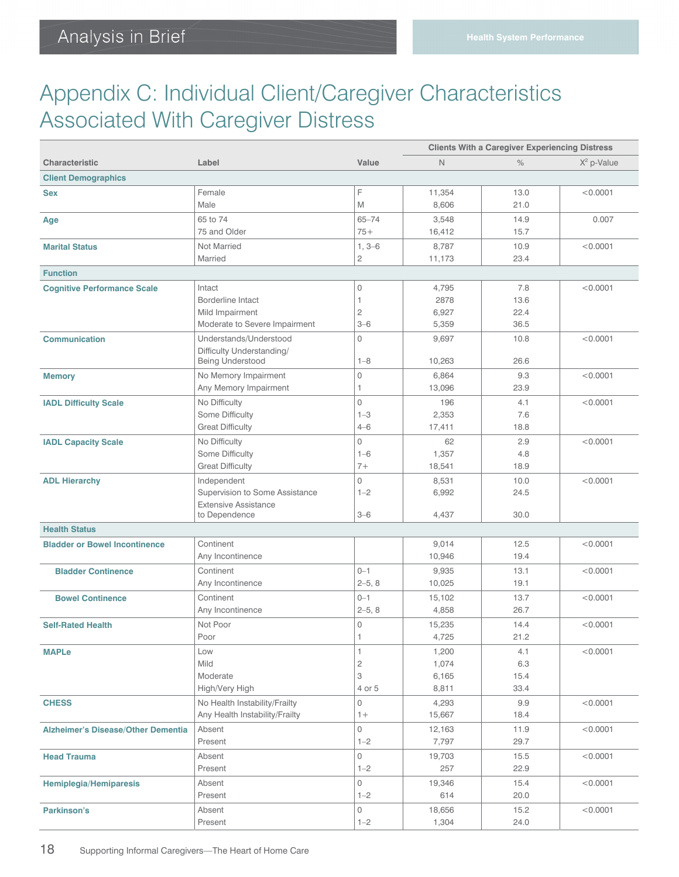# Appendix C: Individual Client/Caregiver Characteristics Associated With Caregiver Distress

|                                           |                                               |                       | <b>Clients With a Caregiver Experiencing Distress</b> |              |               |
|-------------------------------------------|-----------------------------------------------|-----------------------|-------------------------------------------------------|--------------|---------------|
| <b>Characteristic</b>                     | Label                                         | Value                 | N                                                     | $\%$         | $X^2$ p-Value |
| <b>Client Demographics</b>                |                                               |                       |                                                       |              |               |
| <b>Sex</b>                                | Female                                        | F                     | 11,354                                                | 13.0         | < 0.0001      |
|                                           | Male                                          | M                     | 8,606                                                 | 21.0         |               |
| Age                                       | 65 to 74                                      | $65 - 74$             | 3,548                                                 | 14.9         | 0.007         |
|                                           | 75 and Older                                  | $75+$                 | 16,412                                                | 15.7         |               |
| <b>Marital Status</b>                     | Not Married                                   | $1, 3-6$              | 8,787                                                 | 10.9         | < 0.0001      |
|                                           | Married                                       | $\overline{c}$        | 11,173                                                | 23.4         |               |
| <b>Function</b>                           |                                               |                       |                                                       |              |               |
| <b>Cognitive Performance Scale</b>        | Intact                                        | 0                     | 4,795                                                 | 7.8          | < 0.0001      |
|                                           | <b>Borderline Intact</b>                      | 1                     | 2878                                                  | 13.6         |               |
|                                           | Mild Impairment                               | $\overline{c}$        | 6,927                                                 | 22.4         |               |
|                                           | Moderate to Severe Impairment                 | $3 - 6$               | 5,359                                                 | 36.5         |               |
| <b>Communication</b>                      | Understands/Understood                        | $\circ$               | 9,697                                                 | 10.8         | < 0.0001      |
|                                           | Difficulty Understanding/<br>Being Understood | $1 - 8$               | 10,263                                                | 26.6         |               |
|                                           | No Memory Impairment                          | $\circ$               | 6,864                                                 | 9.3          | < 0.0001      |
| <b>Memory</b>                             | Any Memory Impairment                         | 1                     | 13,096                                                | 23.9         |               |
|                                           | No Difficulty                                 | $\circ$               | 196                                                   | 4.1          | < 0.0001      |
| <b>IADL Difficulty Scale</b>              | Some Difficulty                               | $1 - 3$               | 2,353                                                 | 7.6          |               |
|                                           | <b>Great Difficulty</b>                       | $4 - 6$               | 17,411                                                | 18.8         |               |
| <b>IADL Capacity Scale</b>                | No Difficulty                                 | $\circ$               | 62                                                    | 2.9          | < 0.0001      |
|                                           | Some Difficulty                               | $1 - 6$               | 1,357                                                 | 4.8          |               |
|                                           | <b>Great Difficulty</b>                       | $7 +$                 | 18,541                                                | 18.9         |               |
| <b>ADL Hierarchy</b>                      | Independent                                   | $\Omega$              | 8,531                                                 | 10.0         | < 0.0001      |
|                                           | Supervision to Some Assistance                | $1 - 2$               | 6,992                                                 | 24.5         |               |
|                                           | <b>Extensive Assistance</b>                   |                       |                                                       |              |               |
|                                           | to Dependence                                 | $3 - 6$               | 4,437                                                 | 30.0         |               |
| <b>Health Status</b>                      |                                               |                       |                                                       |              |               |
| <b>Bladder or Bowel Incontinence</b>      | Continent                                     |                       | 9,014                                                 | 12.5         | < 0.0001      |
|                                           | Any Incontinence                              |                       | 10,946                                                | 19.4         |               |
| <b>Bladder Continence</b>                 | Continent<br>Any Incontinence                 | $0 - 1$<br>$2 - 5, 8$ | 9,935<br>10,025                                       | 13.1<br>19.1 | < 0.0001      |
|                                           |                                               |                       |                                                       |              |               |
| <b>Bowel Continence</b>                   | Continent<br>Any Incontinence                 | $0 - 1$<br>$2 - 5, 8$ | 15,102<br>4,858                                       | 13.7<br>26.7 | < 0.0001      |
| <b>Self-Rated Health</b>                  |                                               | 0                     |                                                       |              |               |
|                                           | Not Poor<br>Poor                              | 1                     | 15,235<br>4,725                                       | 14.4<br>21.2 | < 0.0001      |
| <b>MAPLe</b>                              | Low                                           | 1                     | 1,200                                                 | 4.1          | < 0.0001      |
|                                           | Mild                                          | 2                     | 1,074                                                 | 6.3          |               |
|                                           | Moderate                                      | 3                     | 6,165                                                 | 15.4         |               |
|                                           | High/Very High                                | 4 or 5                | 8,811                                                 | 33.4         |               |
| <b>CHESS</b>                              | No Health Instability/Frailty                 | 0                     | 4,293                                                 | 9.9          | < 0.0001      |
|                                           | Any Health Instability/Frailty                | $1+$                  | 15,667                                                | 18.4         |               |
| <b>Alzheimer's Disease/Other Dementia</b> | Absent                                        | 0                     | 12,163                                                | 11.9         | < 0.0001      |
|                                           | Present                                       | $1 - 2$               | 7,797                                                 | 29.7         |               |
| <b>Head Trauma</b>                        | Absent                                        | 0                     | 19,703                                                | 15.5         | < 0.0001      |
|                                           | Present                                       | $1 - 2$               | 257                                                   | 22.9         |               |
| <b>Hemiplegia/Hemiparesis</b>             | Absent                                        | 0                     | 19,346                                                | 15.4         | < 0.0001      |
|                                           | Present                                       | $1 - 2$               | 614                                                   | 20.0         |               |
| Parkinson's                               | Absent                                        | 0                     | 18,656                                                | 15.2         | < 0.0001      |
|                                           | Present                                       | $1 - 2$               | 1,304                                                 | 24.0         |               |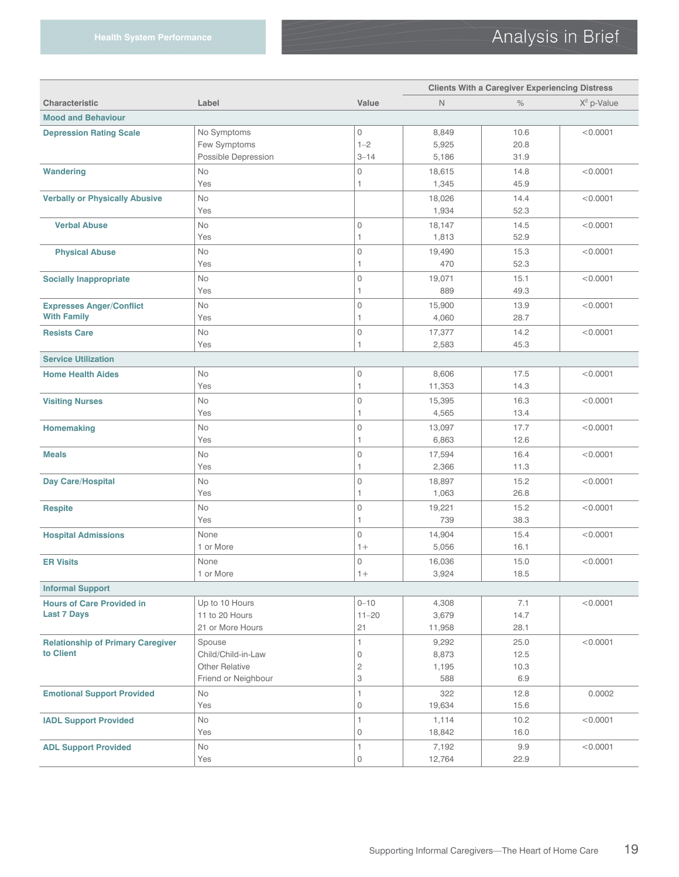|                                          |                       |                     | <b>Clients With a Caregiver Experiencing Distress</b> |      |               |
|------------------------------------------|-----------------------|---------------------|-------------------------------------------------------|------|---------------|
| <b>Characteristic</b>                    | Label                 | Value               | $\mathsf{N}$                                          | $\%$ | $X^2$ p-Value |
| <b>Mood and Behaviour</b>                |                       |                     |                                                       |      |               |
| <b>Depression Rating Scale</b>           | No Symptoms           | 0                   | 8,849                                                 | 10.6 | < 0.0001      |
|                                          | Few Symptoms          | $1 - 2$             | 5,925                                                 | 20.8 |               |
|                                          | Possible Depression   | $3 - 14$            | 5,186                                                 | 31.9 |               |
| <b>Wandering</b>                         | No                    | 0                   | 18,615                                                | 14.8 | < 0.0001      |
|                                          | Yes                   | 1                   | 1,345                                                 | 45.9 |               |
| <b>Verbally or Physically Abusive</b>    | No                    |                     | 18,026                                                | 14.4 | < 0.0001      |
|                                          | Yes                   |                     | 1,934                                                 | 52.3 |               |
| <b>Verbal Abuse</b>                      | No                    | $\mathbb O$         | 18,147                                                | 14.5 | < 0.0001      |
|                                          | Yes                   | 1                   | 1,813                                                 | 52.9 |               |
| <b>Physical Abuse</b>                    | <b>No</b>             | $\mathbb O$         | 19,490                                                | 15.3 | < 0.0001      |
|                                          | Yes                   | 1                   | 470                                                   | 52.3 |               |
| <b>Socially Inappropriate</b>            | <b>No</b>             | $\mathbf 0$         | 19,071                                                | 15.1 | < 0.0001      |
|                                          | Yes                   | 1                   | 889                                                   | 49.3 |               |
| <b>Expresses Anger/Conflict</b>          | <b>No</b>             | $\mathbf 0$         | 15,900                                                | 13.9 | < 0.0001      |
| <b>With Family</b>                       | Yes                   | 1                   | 4,060                                                 | 28.7 |               |
| <b>Resists Care</b>                      | No                    | $\mathsf{O}\xspace$ | 17,377                                                | 14.2 | < 0.0001      |
|                                          | Yes                   | 1                   | 2,583                                                 | 45.3 |               |
| <b>Service Utilization</b>               |                       |                     |                                                       |      |               |
| <b>Home Health Aides</b>                 | No                    | 0                   | 8,606                                                 | 17.5 | < 0.0001      |
|                                          | Yes                   | 1                   | 11,353                                                | 14.3 |               |
| <b>Visiting Nurses</b>                   | No                    | 0                   | 15,395                                                | 16.3 | < 0.0001      |
|                                          | Yes                   | 1                   | 4,565                                                 | 13.4 |               |
| <b>Homemaking</b>                        | No                    | 0                   | 13,097                                                | 17.7 | < 0.0001      |
|                                          | Yes                   | 1                   | 6,863                                                 | 12.6 |               |
| <b>Meals</b>                             | No                    | 0                   | 17,594                                                | 16.4 | < 0.0001      |
|                                          | Yes                   | 1                   | 2,366                                                 | 11.3 |               |
| <b>Day Care/Hospital</b>                 | No                    | 0                   | 18,897                                                | 15.2 | < 0.0001      |
|                                          | Yes                   | 1                   | 1,063                                                 | 26.8 |               |
| <b>Respite</b>                           | No                    | 0                   | 19,221                                                | 15.2 | < 0.0001      |
|                                          | Yes                   | 1                   | 739                                                   | 38.3 |               |
| <b>Hospital Admissions</b>               | None                  | $\circ$             | 14,904                                                | 15.4 | < 0.0001      |
|                                          | 1 or More             | $1+$                | 5,056                                                 | 16.1 |               |
| <b>ER Visits</b>                         | None                  | 0                   | 16,036                                                | 15.0 | < 0.0001      |
|                                          | 1 or More             | $1+$                | 3,924                                                 | 18.5 |               |
| <b>Informal Support</b>                  |                       |                     |                                                       |      |               |
| <b>Hours of Care Provided in</b>         | Up to 10 Hours        | $0 - 10$            | 4,308                                                 | 7.1  | < 0.0001      |
| <b>Last 7 Days</b>                       | 11 to 20 Hours        | $11 - 20$           | 3,679                                                 | 14.7 |               |
|                                          | 21 or More Hours      | 21                  | 11,958                                                | 28.1 |               |
| <b>Relationship of Primary Caregiver</b> | Spouse                | 1                   | 9,292                                                 | 25.0 | < 0.0001      |
| to Client                                | Child/Child-in-Law    | $\mathbb O$         | 8,873                                                 | 12.5 |               |
|                                          | <b>Other Relative</b> | $\mathfrak 2$       | 1,195                                                 | 10.3 |               |
|                                          | Friend or Neighbour   | 3                   | 588                                                   | 6.9  |               |
| <b>Emotional Support Provided</b>        | No                    | 1                   | 322                                                   | 12.8 | 0.0002        |
|                                          | Yes                   | $\mathbb O$         | 19.634                                                | 15.6 |               |
| <b>IADL Support Provided</b>             | No                    | 1                   | 1,114                                                 | 10.2 | < 0.0001      |
|                                          | Yes                   | $\mathbb O$         | 18,842                                                | 16.0 |               |
| <b>ADL Support Provided</b>              | No                    | 1                   | 7,192                                                 | 9.9  | < 0.0001      |
|                                          | Yes                   | 0                   | 12,764                                                | 22.9 |               |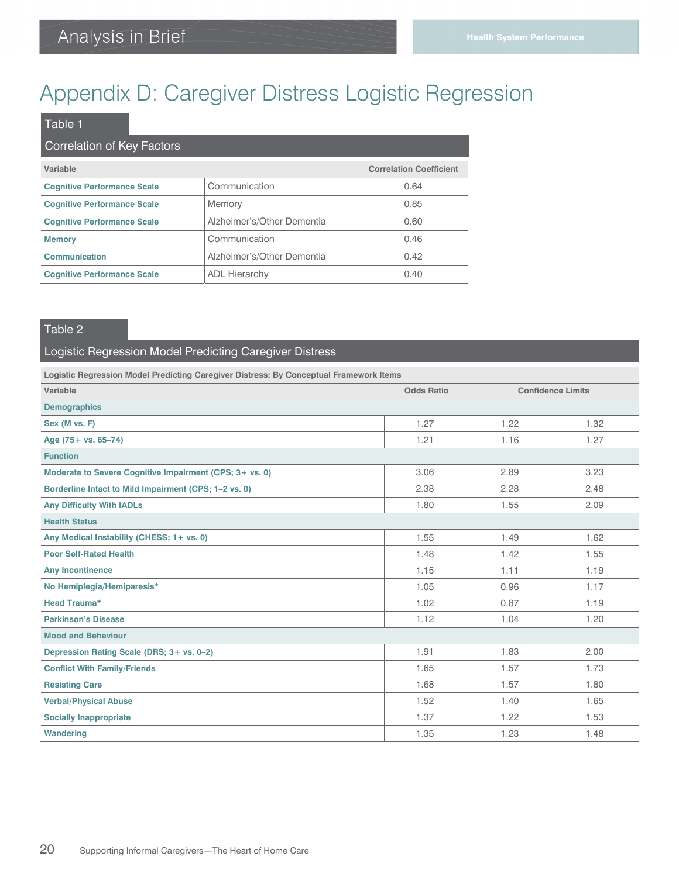# Appendix D: Caregiver Distress Logistic Regression

### **Variable Correlation Coefficient Cognitive Performance Scale** Communication 0.64 **Cognitive Performance Scale Memory Constant According to According the CONS Cognitive Performance Scale** Alzheimer's/Other Dementia 0.60 **Memory Communication Communication 0.46 Communication Communication Communication COMPUTER Alzheimer's/Other Dementia COMPUTER COMPUTER Cognitive Performance Scale ADL Hierarchy COMPONER 1989** 0.40 Table 1 Correlation of Key Factors

#### Table 2

#### Logistic Regression Model Predicting Caregiver Distress

| Logistic Regression Model Predicting Caregiver Distress: By Conceptual Framework Items |                                               |      |      |  |  |  |
|----------------------------------------------------------------------------------------|-----------------------------------------------|------|------|--|--|--|
| Variable                                                                               | <b>Odds Ratio</b><br><b>Confidence Limits</b> |      |      |  |  |  |
| <b>Demographics</b>                                                                    |                                               |      |      |  |  |  |
| Sex (M vs. F)                                                                          | 1.27                                          | 1.22 | 1.32 |  |  |  |
| Age (75+ vs. 65-74)                                                                    | 1.21                                          | 1.16 | 1.27 |  |  |  |
| <b>Function</b>                                                                        |                                               |      |      |  |  |  |
| Moderate to Severe Cognitive Impairment (CPS; 3+ vs. 0)                                | 3.06                                          | 2.89 | 3.23 |  |  |  |
| Borderline Intact to Mild Impairment (CPS; 1-2 vs. 0)                                  | 2.38                                          | 2.28 | 2.48 |  |  |  |
| <b>Any Difficulty With IADLs</b>                                                       | 1.80                                          | 1.55 | 2.09 |  |  |  |
| <b>Health Status</b>                                                                   |                                               |      |      |  |  |  |
| Any Medical Instability (CHESS; 1+ vs. 0)                                              | 1.55                                          | 1.49 | 1.62 |  |  |  |
| <b>Poor Self-Rated Health</b>                                                          | 1.48                                          | 1.42 | 1.55 |  |  |  |
| <b>Any Incontinence</b>                                                                | 1.15                                          | 1.11 | 1.19 |  |  |  |
| No Hemiplegia/Hemiparesis*                                                             | 1.05                                          | 0.96 | 1.17 |  |  |  |
| <b>Head Trauma*</b>                                                                    | 1.02                                          | 0.87 | 1.19 |  |  |  |
| <b>Parkinson's Disease</b>                                                             | 1.12                                          | 1.04 | 1.20 |  |  |  |
| <b>Mood and Behaviour</b>                                                              |                                               |      |      |  |  |  |
| Depression Rating Scale (DRS; 3+ vs. 0-2)                                              | 1.91                                          | 1.83 | 2.00 |  |  |  |
| <b>Conflict With Family/Friends</b>                                                    | 1.65                                          | 1.57 | 1.73 |  |  |  |
| <b>Resisting Care</b>                                                                  | 1.68                                          | 1.57 | 1.80 |  |  |  |
| <b>Verbal/Physical Abuse</b>                                                           | 1.52                                          | 1.40 | 1.65 |  |  |  |
| <b>Socially Inappropriate</b>                                                          | 1.37                                          | 1.22 | 1.53 |  |  |  |
| <b>Wandering</b>                                                                       | 1.35                                          | 1.23 | 1.48 |  |  |  |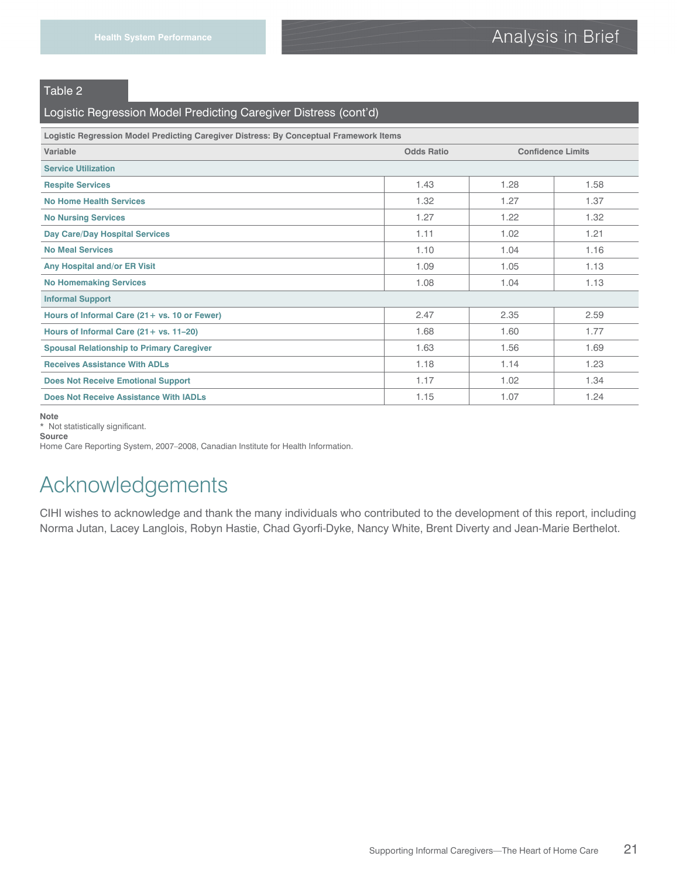#### Table 2

#### Logistic Regression Model Predicting Caregiver Distress (cont'd)

| Logistic Regression Model Predicting Caregiver Distress: By Conceptual Framework Items |                   |                          |      |  |
|----------------------------------------------------------------------------------------|-------------------|--------------------------|------|--|
| Variable                                                                               | <b>Odds Ratio</b> | <b>Confidence Limits</b> |      |  |
| <b>Service Utilization</b>                                                             |                   |                          |      |  |
| <b>Respite Services</b>                                                                | 1.43              | 1.28                     | 1.58 |  |
| <b>No Home Health Services</b>                                                         | 1.32              | 1.27                     | 1.37 |  |
| <b>No Nursing Services</b>                                                             | 1.27              | 1.22                     | 1.32 |  |
| <b>Day Care/Day Hospital Services</b>                                                  | 1.11              | 1.02                     | 1.21 |  |
| <b>No Meal Services</b>                                                                | 1.10              | 1.04                     | 1.16 |  |
| Any Hospital and/or ER Visit                                                           | 1.09              | 1.05                     | 1.13 |  |
| <b>No Homemaking Services</b>                                                          | 1.08              | 1.04                     | 1.13 |  |
| <b>Informal Support</b>                                                                |                   |                          |      |  |
| Hours of Informal Care (21+ vs. 10 or Fewer)                                           | 2.47              | 2.35                     | 2.59 |  |
| Hours of Informal Care (21+ vs. 11-20)                                                 | 1.68              | 1.60                     | 1.77 |  |
| <b>Spousal Relationship to Primary Caregiver</b>                                       | 1.63              | 1.56                     | 1.69 |  |
| <b>Receives Assistance With ADLs</b>                                                   | 1.18              | 1.14                     | 1.23 |  |
| <b>Does Not Receive Emotional Support</b>                                              | 1.17              | 1.02                     | 1.34 |  |
| Does Not Receive Assistance With IADLs                                                 | 1.15              | 1.07                     | 1.24 |  |

**Note**

\* Not statistically significant.

**Source** 

Home Care Reporting System, 2007–2008, Canadian Institute for Health Information.

# Acknowledgements

CIHI wishes to acknowledge and thank the many individuals who contributed to the development of this report, including Norma Jutan, Lacey Langlois, Robyn Hastie, Chad Gyorfi-Dyke, Nancy White, Brent Diverty and Jean-Marie Berthelot.